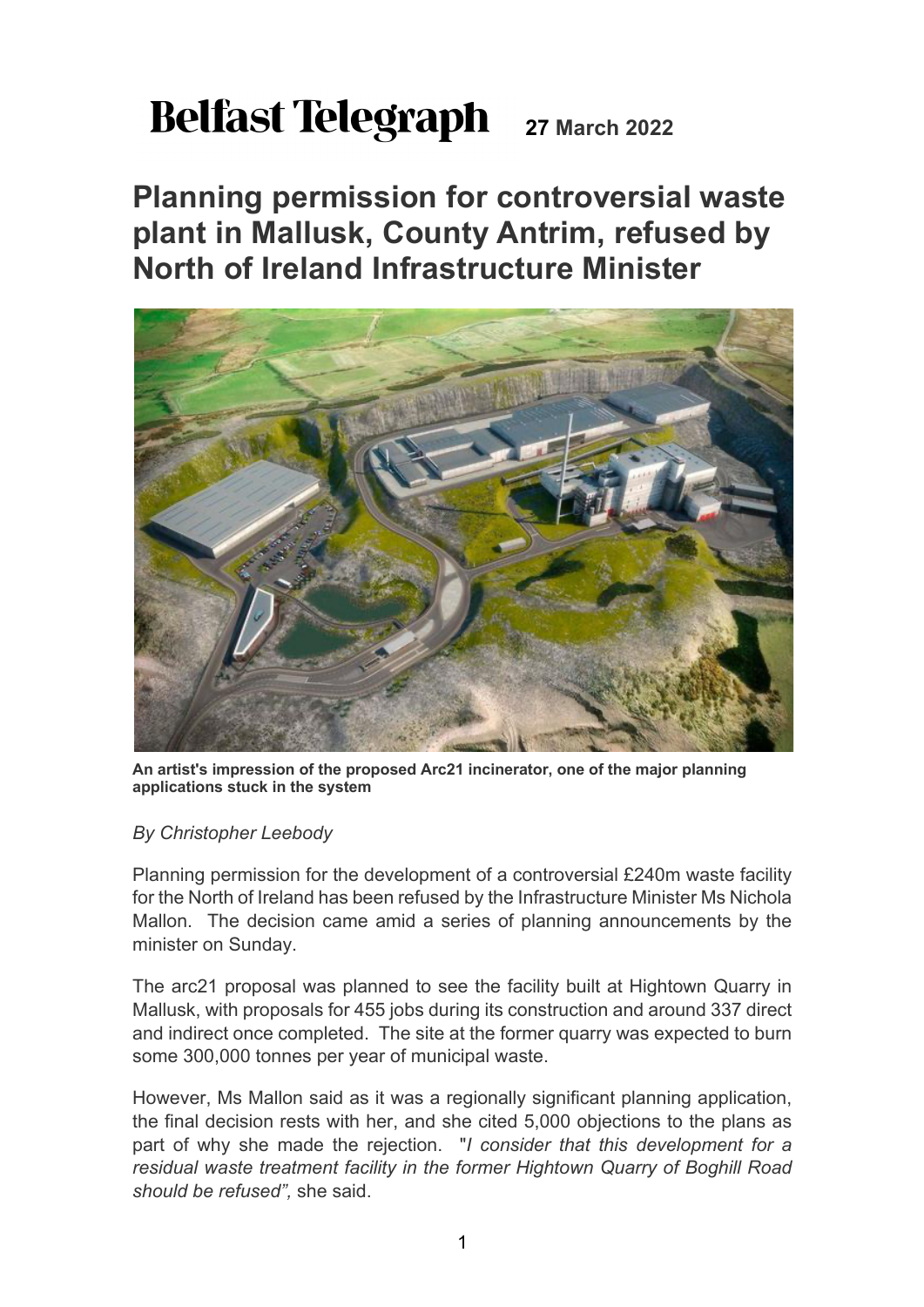## **Belfast Telegraph** 27 March 2022

**Planning permission for controversial waste plant in Mallusk, County Antrim, refused by North of Ireland Infrastructure Minister**



**An artist's impression of the proposed Arc21 incinerator, one of the major planning applications stuck in the system**

## *By Christopher Leebody*

Planning permission for the development of a controversial £240m waste facility for the North of Ireland has been refused by the Infrastructure Minister Ms Nichola Mallon. The decision came amid a series of planning announcements by the minister on Sunday.

The arc21 proposal was planned to see the facility built at Hightown Quarry in Mallusk, with proposals for 455 jobs during its construction and around 337 direct and indirect once completed. The site at the former quarry was expected to burn some 300,000 tonnes per year of municipal waste.

However, Ms Mallon said as it was a regionally significant planning application, the final decision rests with her, and she cited 5,000 objections to the plans as part of why she made the rejection. "*I consider that this development for a residual waste treatment facility in the former Hightown Quarry of Boghill Road should be refused",* she said.